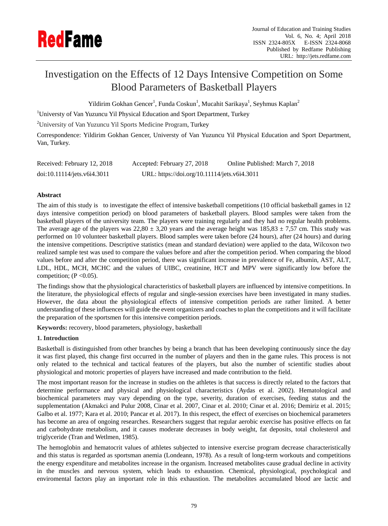

# Investigation on the Effects of 12 Days Intensive Competition on Some Blood Parameters of Basketball Players

Yildirim Gokhan Gencer $^{\rm l}$ , Funda Coskun $^{\rm l}$ , Mucahit Sarikaya $^{\rm l}$ , Seyhmus Kaplan $^{\rm 2}$ 

<sup>1</sup>Universty of Van Yuzuncu Yil Physical Education and Sport Department, Turkey

<sup>2</sup>University of Van Yuzuncu Yil Sports Medicine Program, Turkey

Correspondence: Yildirim Gokhan Gencer, Universty of Van Yuzuncu Yil Physical Education and Sport Department, Van, Turkey.

| Received: February 12, 2018 | Accepted: February 27, 2018                  | Online Published: March 7, 2018 |
|-----------------------------|----------------------------------------------|---------------------------------|
| doi:10.11114/jets.v6i4.3011 | URL: https://doi.org/10.11114/jets.v6i4.3011 |                                 |

# **Abstract**

The aim of this study is to investigate the effect of intensive basketball competitions (10 official basketball games in 12 days intensive competition period) on blood parameters of basketball players. Blood samples were taken from the basketball players of the university team. The players were training regularly and they had no regular health problems. The average age of the players was 22,80  $\pm$  3,20 years and the average height was 185,83  $\pm$  7,57 cm. This study was performed on 10 volunteer basketball players. Blood samples were taken before (24 hours), after (24 hours) and during the intensive competitions. Descriptive statistics (mean and standard deviation) were applied to the data, Wilcoxon two realized sample test was used to compare the values before and after the competition period. When comparing the blood values before and after the competition period, there was significant increase in prevalence of Fe, albumin, AST, ALT, LDL, HDL, MCH, MCHC and the values of UIBC, creatinine, HCT and MPV were significantly low before the competition;  $(P \le 0.05)$ .

The findings show that the physiological characteristics of basketball players are influenced by intensive competitions. In the literature, the physiological effects of regular and single-session exercises have been investigated in many studies. However, the data about the physiological effects of intensive competition periods are rather limited. A better understanding of these influences will guide the event organizers and coaches to plan the competitions and it will facilitate the preparation of the sportsmen for this intensive competition periods.

**Keywords:** recovery, blood parameters, physiology, basketball

## **1. Introduction**

Basketball is distinguished from other branches by being a branch that has been developing continuously since the day it was first played, this change first occurred in the number of players and then in the game rules. This process is not only related to the technical and tactical features of the players, but also the number of scientific studies about physiological and motoric properties of players have increased and made contribution to the field.

The most important reason for the increase in studies on the athletes is that success is directly related to the factors that determine performance and physical and physiological characteristics (Aydas et al. 2002). Hematological and biochemical parameters may vary depending on the type, severity, duration of exercises, feeding status and the supplementation (Akmakci and Pulur 2008, Cinar et al. 2007, Cinar et al. 2010; Cinar et al. 2016; Demiriz et al. 2015; Galbo et al. 1977; Kara et al. 2010; Pancar et al. 2017). In this respect, the effect of exercises on biochemical parameters has become an area of ongoing researches. Researchers suggest that regular aerobic exercise has positive effects on fat and carbohydrate metabolism, and it causes moderate decreases in body weight, fat deposits, total cholesterol and triglyceride (Tran and Wetlmen, 1985).

The hemoglobin and hematocrit values of athletes subjected to intensive exercise program decrease characteristically and this status is regarded as sportsman anemia (Londeann, 1978). As a result of long-term workouts and competitions the energy expenditure and metabolites increase in the organism. Increased metabolites cause gradual decline in activity in the muscles and nervous system, which leads to exhaustion. Chemical, physiological, psychological and enviromental factors play an important role in this exhaustion. The metabolites accumulated blood are lactic and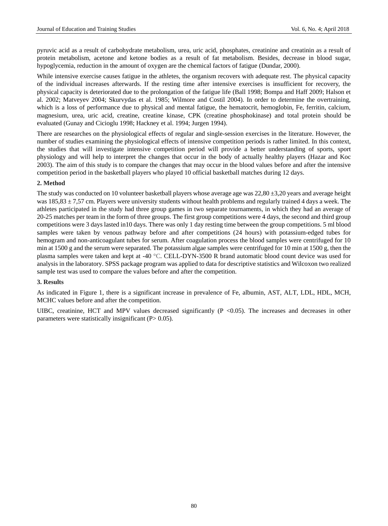pyruvic acid as a result of carbohydrate metabolism, urea, uric acid, phosphates, creatinine and creatinin as a result of protein metabolism, acetone and ketone bodies as a result of fat metabolism. Besides, decrease in blood sugar, hypoglycemia, reduction in the amount of oxygen are the chemical factors of fatigue (Dundar, 2000).

While intensive exercise causes fatigue in the athletes, the organism recovers with adequate rest. The physical capacity of the individual increases afterwards. If the resting time after intensive exercises is insufficient for recovery, the physical capacity is deteriorated due to the prolongation of the fatigue life (Ball 1998; Bompa and Haff 2009; Halson et al. 2002; Matveyev 2004; Skurvydas et al. 1985; Wilmore and Costil 2004). In order to determine the overtraining, which is a loss of performance due to physical and mental fatigue, the hematocrit, hemoglobin, Fe, ferritin, calcium, magnesium, urea, uric acid, creatine, creatine kinase, CPK (creatine phosphokinase) and total protein should be evaluated (Gunay and Cicioglu 1998; Hackney et al. 1994; Jurgen 1994).

There are researches on the physiological effects of regular and single-session exercises in the literature. However, the number of studies examining the physiological effects of intensive competition periods is rather limited. In this context, the studies that will investigate intensive competition period will provide a better understanding of sports, sport physiology and will help to interpret the changes that occur in the body of actually healthy players (Hazar and Koc 2003). The aim of this study is to compare the changes that may occur in the blood values before and after the intensive competition period in the basketball players who played 10 official basketball matches during 12 days.

## **2. Method**

The study was conducted on 10 volunteer basketball players whose average age was  $22,80 \pm 3,20$  years and average height was 185,83  $\pm$  7,57 cm. Players were university students without health problems and regularly trained 4 days a week. The athletes participated in the study had three group games in two separate tournaments, in which they had an average of 20-25 matches per team in the form of three groups. The first group competitions were 4 days, the second and third group competitions were 3 days lasted in10 days. There was only 1 day resting time between the group competitions. 5 ml blood samples were taken by venous pathway before and after competitions (24 hours) with potassium-edged tubes for hemogram and non-anticoagulant tubes for serum. After coagulation process the blood samples were centrifuged for 10 min at 1500 g and the serum were separated. The potassium algae samples were centrifuged for 10 min at 1500 g, then the plasma samples were taken and kept at -40 °C. CELL-DYN-3500 R brand automatic blood count device was used for analysis in the laboratory. SPSS package program was applied to data for descriptive statistics and Wilcoxon two realized sample test was used to compare the values before and after the competition.

#### **3. Results**

As indicated in Figure 1, there is a significant increase in prevalence of Fe, albumin, AST, ALT, LDL, HDL, MCH, MCHC values before and after the competition.

UIBC, creatinine, HCT and MPV values decreased significantly  $(P < 0.05)$ . The increases and decreases in other parameters were statistically insignificant  $(P> 0.05)$ .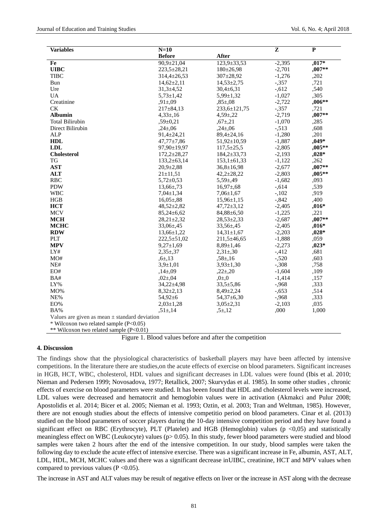| <b>Variables</b>       | $N=10$            |                   | Z        | $\mathbf{P}$ |
|------------------------|-------------------|-------------------|----------|--------------|
|                        | <b>Before</b>     | <b>After</b>      |          |              |
| Fe                     | $90,9 + 21,04$    | 123,9±33,53       | $-2,395$ | $,017*$      |
| <b>UIBC</b>            | 223,5±28,21       | $180 \pm 26,98$   | $-2,701$ | $,007**$     |
| <b>TIBC</b>            | $314,4 \pm 26,53$ | $307 + 28,92$     | $-1,276$ | ,202         |
| Bun                    | $14,62 \pm 2,11$  | $14,53 \pm 2,75$  | $-357$   | ,721         |
| Ure                    | $31,3 + 4,52$     | $30,4 \pm 6,31$   | $-.612$  | ,540         |
| <b>UA</b>              | $5,73 \pm 1,42$   | $5,99 \pm 1,32$   | $-1,027$ | ,305         |
| Creatinine             | $.91 \pm 09$      | $0.85 \pm 0.08$   | $-2,722$ | ,006**       |
| <b>CK</b>              | $217 \pm 84.13$   | 233,6±121,75      | $-357$   | ,721         |
| <b>Albumin</b>         | $4.33 \pm 16$     | $4.59 \pm 22$     | $-2,719$ | ,007**       |
| <b>Total Bilirubin</b> | $.59 \pm 0.21$    | $,67 \pm 21$      | $-1,070$ | ,285         |
| Direct Bilirubin       | $,24\pm 06$       | $,24\pm06$        | $-513$   | ,608         |
| <b>ALP</b>             | $91,4+24,21$      | $89,4+24,16$      | $-1,280$ | ,201         |
| <b>HDL</b>             | $47,77 \pm 7,86$  | $51,92 \pm 10,59$ | $-1,887$ | $,049*$      |
| <b>LDL</b>             | 97,90±19,97       | $117,5 \pm 25,5$  | $-2,805$ | $,005**$     |
| <b>Cholesterol</b>     | $172,2 \pm 28,27$ | $184,2 \pm 33,73$ | $-2,193$ | $,028*$      |
| TG                     | $133,2+63,14$     | $153,1\pm 61,33$  | $-1,122$ | ,262         |
| <b>AST</b>             | $20.9 \pm 2.88$   | $36,8 \pm 16,98$  | $-2,677$ | ,007**       |
| <b>ALT</b>             | $21 \pm 11,51$    | $42,2 \pm 28,22$  | $-2,803$ | ,005**       |
| <b>RBC</b>             | $5,72 \pm 0.53$   | $5.59 \pm 49$     | $-1,682$ | ,093         |
| <b>PDW</b>             | $13,66 \pm 73$    | $16,97 \pm 68$    | $-.614$  | ,539         |
| <b>WBC</b>             | $7,04 \pm 1,34$   | $7,06 \pm 1,67$   | $-102$   | ,919         |
| HGB                    | $16,05 \pm 88$    | $15,96 \pm 1,15$  | $-0.842$ | ,400         |
| <b>HCT</b>             | 48,52±2,82        | $47,72 \pm 3,12$  | $-2,405$ | $,016*$      |
| <b>MCV</b>             | $85,24 \pm 6,62$  | $84,88 \pm 6,50$  | $-1,225$ | ,221         |
| <b>MCH</b>             | $28,21 \pm 2,32$  | $28,53 \pm 2,33$  | $-2,687$ | $,007**$     |
| <b>MCHC</b>            | $33,06 \pm 45$    | $33,56 \pm 45$    | $-2,405$ | $,016*$      |
| <b>RDW</b>             | $13,66 \pm 1,22$  | $14,31 \pm 1,67$  | $-2,203$ | $,028*$      |
| <b>PLT</b>             | $222.5 + 51.02$   | $211.5 \pm 46.65$ | $-1,888$ | ,059         |
| <b>MPV</b>             | $9,27 \pm 1,69$   | $8,89+1,46$       | $-2,273$ | $0.023*$     |
| LYH                    | $2.35 \pm 37$     | $2,31 \pm 30$     | $-412$   | ,681         |
| MO#                    | $.6 \pm 13$       | $,58 \pm 16$      | $-.520$  | ,603         |
| NE#                    | $3.9 \pm 1.01$    | $3,93 \pm 1,30$   | $-.308$  | ,758         |
| EO#                    | $,14\pm09$        | $,22 \pm 20$      | $-1,604$ | ,109         |
| BA#                    | $.02 \pm 04$      | $0\pm 0$          | $-1,414$ | ,157         |
| LY%                    | $34,22 \pm 4,98$  | $33,5 + 5,86$     | $-0.968$ | ,333         |
| MO%                    | $8,32 \pm 2,13$   | $8,49 \pm 2,24$   | $-0.653$ | ,514         |
| NE%                    | 54,92±6           | 54,37±6,30        | $-0.968$ | ,333         |
| EO%                    | $2,03 \pm 1,28$   | $3,05 \pm 2,31$   | $-2,103$ | ,035         |
| BA%                    | $, 51 \pm 14$     | $, 5 \pm 12$      | ,000     | 1,000        |

Values are given as mean  $\pm$  standard deviation

\* Wilcoxon two related sample (P<0.05)

\*\* Wilcoxon two related sample (P<0.01)

Figure 1. Blood values before and after the competition

## **4. Discussion**

The findings show that the physiological characteristics of basketball players may have been affected by intensive competitions. In the literature there are studies,on the acute effects of exercise on blood parameters. Significant increases in HGB, HCT, WBC, cholesterol, HDL values and significant decreases in LDL values were found (Ibis et al. 2010; Nieman and Pedersen 1999; Novosadova, 1977; Retallick, 2007; Skurvydas et al. 1985). In some other studies , chronic effects of exercise on blood parameters were studied. It has beeen found that HDL and cholesterol levels were increased, LDL values were decreased and hematocrit and hemoglobin values were in activation (Akmakci and Pulur 2008; Apostolidis et al. 2014; Bicer et al. 2005; Nieman et al. 1993; Oztin, et al. 2003; Tran and Weltman, 1985). However, there are not enough studies about the effects of intensive competitio period on blood parameters. Cinar et al. (2013) studied on the blood parameters of soccer players during the 10-day intensive competition period and they have found a significant effect on RBC (Erythrocyte), PLT (Platelet) and HGB (Hemoglobin) values ( $p \le 0.05$ ) and statistically meaningless effect on WBC (Leukocyte) values ( $p > 0.05$ ). In this study, fewer blood parameters were studied and blood samples were taken 2 hours after the end of the intensive competition. In our study, blood samples were taken the following day to exclude the acute effect of intensive exercise. There was a significant increase in Fe, albumin, AST, ALT, LDL, HDL, MCH, MCHC values and there was a significant decrease inUIBC, creatinine, HCT and MPV values when compared to previous values ( $P < 0.05$ ).

The increase in AST and ALT values may be result of negative effects on liver or the increase in AST along with the decrease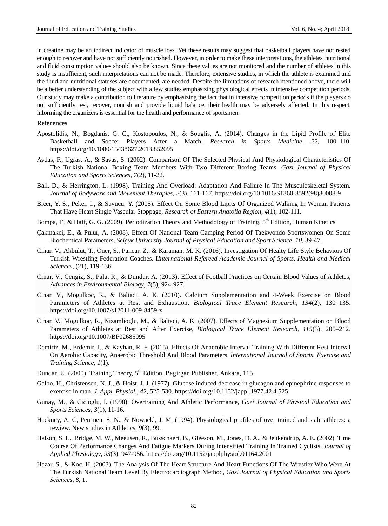in creatine may be an indirect indicator of muscle loss. Yet these results may suggest that basketball players have not rested enough to recover and have not sufficiently nourished. However, in order to make these interpretations, the athletes' nutritional and fluid consumption values should also be known. Since these values are not monitored and the number of athletes in this study is insufficient, such interpretations can not be made. Therefore, extensive studies, in which the athlete is examined and the fluid and nutritional statuses are documented, are needed. Despite the limitations of research mentioned above, there will be a better understanding of the subject with a few studies emphasizing physiological effects in intensive competition periods. Our study may make a contribution to literature by emphasizing the fact that in intensive competition periods if the players do not sufficiently rest, recover, nourish and provide liquid balance, their health may be adversely affected. In this respect, informing the organizers is essential for the health and performance of sportsmen.

#### **References**

- Apostolidis, N., Bogdanis, G. C., Kostopoulos, N., & Souglis, A. (2014). Changes in the Lipid Profile of Elite Basketball and Soccer Players After a Match, *Research in Sports Medicine*, *22*, 100–110. <https://doi.org/10.1080/15438627.2013.852095>
- Aydas, F., Ugras, A., & Savas, S. (2002). Comparison Of The Selected Physical And Physiological Characteristics Of The Turkish National Boxing Team Members With Two Different Boxing Teams, *Gazi Journal of Physical Education and Sports Sciences*, *7*(2), 11-22.
- Ball, D., & Herrington, L. (1998). Training And Overload: Adaptation And Failure In The Musculoskeletal System*. Journal of Bodywork and Movement Therapies*, *2*(3), 161-167. [https://doi.org/10.1016/S1360-8592\(98\)80008-9](https://doi.org/10.1016/S1360-8592(98)80008-9)
- Bicer, Y. S., Peker, I., & Savucu, Y. (2005). Effect On Some Blood Lipits Of Organized Walking In Woman Patients That Have Heart Single Vascular Stoppage, *Research of Eastern Anatolia Region*, *4*(1), 102-111.
- Bompa, T., & Haff, G. G. (2009). Periodization Theory and Methodology of Training, 5<sup>th</sup> Edition, Human Kinetics
- Çakmakci, E., & Pulur, A. (2008). Effect Of National Team Camping Period Of Taekwondo Sportswomen On Some Biochemical Parameters, *Selçuk University Journal of Physical Education and Sport Science*, *10*, 39-47.
- Cinar, V., Akbulut, T., Oner, S., Pancar, Z., & Karaman, M. K. (2016). Investigation Of Healty Life Style Behaviors Of Turkish Wrestling Federation Coaches. I*International Refereed Academic Journal of Sports, Health and Medical Sciences,* (21), 119-136.
- Cinar, V., Cengiz, S., Pala, R., & Dundar, A. (2013). Effect of Football Practices on Certain Blood Values of Athletes, *Advances in Environmental Biology*, *7*(5), 924-927.
- Cinar, V., Mogulkoc, R., & Baltaci, A. K. (2010). Calcium Supplementation and 4-Week Exercise on Blood Parameters of Athletes at Rest and Exhaustion, *[Biological Trace Element Research](https://link.springer.com/journal/12011)*, *134*(2), 130–135. <https://doi.org/10.1007/s12011-009-8459-x>
- Cinar, V., Mogulkoc, R., Nizamlioglu, M., & Baltaci, A. K. (2007). Effects of Magnesium Supplementation on Blood Parameters of Athletes at Rest and After Exercise, *[Biological Trace Element Research](https://link.springer.com/journal/12011)*, *115*(3), 205–212. <https://doi.org/10.1007/BF02685995>
- Demiriz, M., Erdemir, I., & Kayhan, R. F. (2015). Effects Of Anaerobic Interval Training With Different Rest Interval On Aerobic Capacity, Anaerobic Threshold And Blood Parameters. *International Journal of Sports, Exercise and Training Science*, *1*(1).
- Dundar, U. (2000). Training Theory, 5<sup>th</sup> Edition, Bagirgan Publisher, Ankara, 115.
- Galbo, H., Christensen, N. J., & Hoist, J. J. (1977). Glucose induced decrease in glucagon and epinephrine responses to exercise in man. *J. Appl. Physiol., 42*, 525-530.<https://doi.org/10.1152/jappl.1977.42.4.525>
- Gunay, M., & Cicioglu, I. (1998). Overtraining And Athletic Performance, *Gazi Journal of Physical Education and Sports Sciences, 3*(1), 11-16.
- Hackney, A. C, Perrmen, S. N., & Nowackl, J. M. (1994). Physiological profiles of over trained and stale athletes: a rewiew. New studies in Athletics, *9*(3), 99.
- Halson, S. L., Bridge, M. W., Meeusen, R., Busschaert, B., Gleeson, M., Jones, D. A., & Jeukendrup, A. E. (2002). Time Course Of Performance Changes And Fatigue Markers During Intensified Training In Trained Cyclists. *Journal of Applied Physiology*, *93*(3), 947-956. <https://doi.org/10.1152/japplphysiol.01164.2001>
- Hazar, S., & Koc, H. (2003). The Analysis Of The Heart Structure And Heart Functions Of The Wrestler Who Were At The Turkish National Team Level By Electrocardiograph Method, *Gazi Journal of Physical Education and Sports Sciences*, *8*, 1.